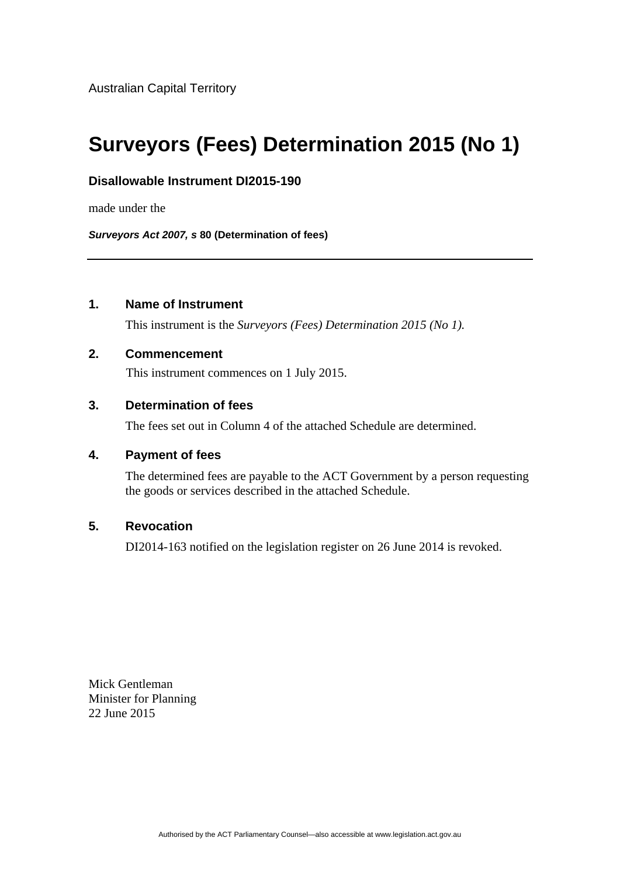# **Surveyors (Fees) Determination 2015 (No 1)**

## **Disallowable Instrument DI2015-190**

made under the

*Surveyors Act 2007, s* **80 (Determination of fees)**

# **1. Name of Instrument**

This instrument is the *Surveyors (Fees) Determination 2015 (No 1).* 

#### **2. Commencement**

This instrument commences on 1 July 2015.

## **3. Determination of fees**

The fees set out in Column 4 of the attached Schedule are determined.

#### **4. Payment of fees**

The determined fees are payable to the ACT Government by a person requesting the goods or services described in the attached Schedule.

#### **5. Revocation**

DI2014-163 notified on the legislation register on 26 June 2014 is revoked.

Mick Gentleman Minister for Planning 22 June 2015